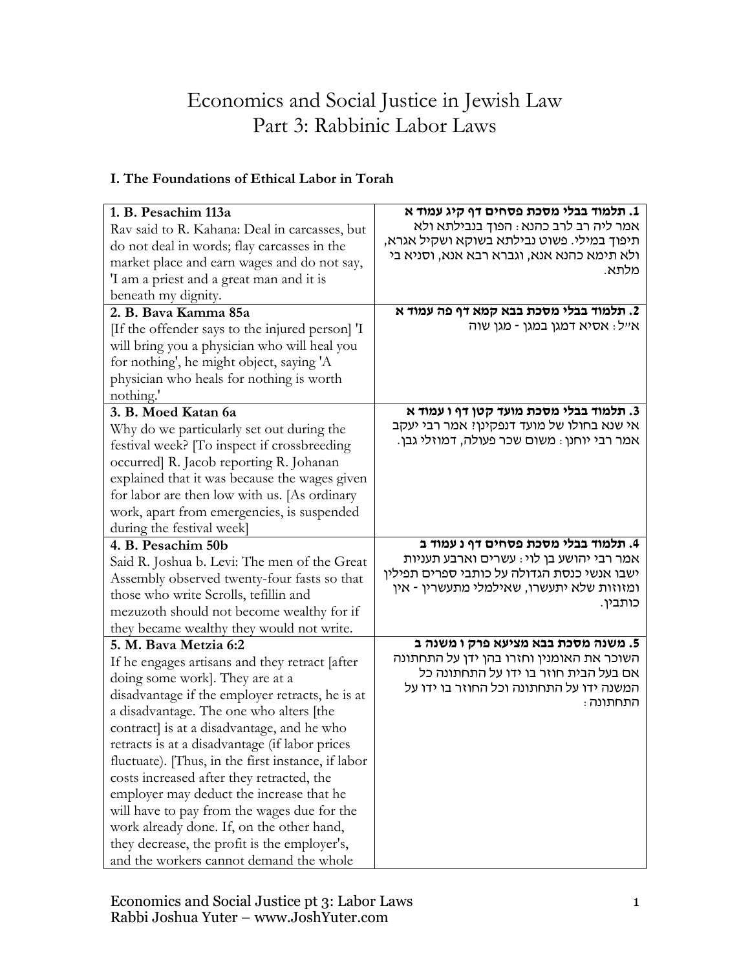# Economics and Social Justice in Jewish Law Part 3: Rabbinic Labor Laws

## **I. The Foundations of Ethical Labor in Torah**

| 1. B. Pesachim 113a<br>Rav said to R. Kahana: Deal in carcasses, but<br>do not deal in words; flay carcasses in the<br>market place and earn wages and do not say,<br>'I am a priest and a great man and it is<br>beneath my dignity.                                                                                                                                                                                                                                                                                                                                                                                 | 1. תלמוד בבלי מסכת פסחים דף קיג עמוד א<br>אמר ליה רב לרב כהנא : הפוך בנבילתא ולא<br>תיפוך במילי. פשוט נבילתא בשוקא ושקיל אגרא,<br>ולא תימא כהנא אנא, וגברא רבא אנא, וסניא בי<br>מלתא. |
|-----------------------------------------------------------------------------------------------------------------------------------------------------------------------------------------------------------------------------------------------------------------------------------------------------------------------------------------------------------------------------------------------------------------------------------------------------------------------------------------------------------------------------------------------------------------------------------------------------------------------|---------------------------------------------------------------------------------------------------------------------------------------------------------------------------------------|
| 2. B. Bava Kamma 85a                                                                                                                                                                                                                                                                                                                                                                                                                                                                                                                                                                                                  | 2. תלמוד בבלי מסכת בבא קמא דף פה עמוד א                                                                                                                                               |
| [If the offender says to the injured person] 'I<br>will bring you a physician who will heal you<br>for nothing', he might object, saying 'A<br>physician who heals for nothing is worth<br>nothing.'                                                                                                                                                                                                                                                                                                                                                                                                                  | אייל: אסיא דמגן במגן - מגן שוה                                                                                                                                                        |
| 3. B. Moed Katan 6a<br>Why do we particularly set out during the<br>festival week? [To inspect if crossbreeding<br>occurred] R. Jacob reporting R. Johanan<br>explained that it was because the wages given<br>for labor are then low with us. [As ordinary<br>work, apart from emergencies, is suspended<br>during the festival week]                                                                                                                                                                                                                                                                                | 3. תלמוד בבלי מסכת מועד קטן דף ו עמוד א<br>אי שנא בחולו של מועד דנפקינן? אמר רבי יעקב<br>אמר רבי יוחנן : משום שכר פעולה, דמוזלי גבן.                                                  |
| 4. B. Pesachim 50b                                                                                                                                                                                                                                                                                                                                                                                                                                                                                                                                                                                                    | 4. תלמוד בבלי מסכת פסחים דף נ עמוד ב                                                                                                                                                  |
| Said R. Joshua b. Levi: The men of the Great<br>Assembly observed twenty-four fasts so that<br>those who write Scrolls, tefillin and<br>mezuzoth should not become wealthy for if<br>they became wealthy they would not write.                                                                                                                                                                                                                                                                                                                                                                                        | אמר רבי יהושע בן לוי: עשרים וארבע תעניות<br>ישבו אנשי כנסת הגדולה על כותבי ספרים תפילין<br>ומזוזות שלא יתעשרו, שאילמלי מתעשרין - אין<br>כותבין.                                       |
| 5. M. Bava Metzia 6:2                                                                                                                                                                                                                                                                                                                                                                                                                                                                                                                                                                                                 | 5. משנה מסכת בבא מציעא פרק ו משנה ב                                                                                                                                                   |
| If he engages artisans and they retract [after<br>doing some work]. They are at a<br>disadvantage if the employer retracts, he is at<br>a disadvantage. The one who alters [the<br>contract] is at a disadvantage, and he who<br>retracts is at a disadvantage (if labor prices<br>fluctuate). [Thus, in the first instance, if labor<br>costs increased after they retracted, the<br>employer may deduct the increase that he<br>will have to pay from the wages due for the<br>work already done. If, on the other hand,<br>they decrease, the profit is the employer's,<br>and the workers cannot demand the whole | השוכר את האומנין וחזרו בהן ידן על התחתונה<br>אם בעל הבית חוזר בו ידו על התחתונה כל<br>המשנה ידו על התחתונה וכל החוזר בו ידו על<br>התחתונה :                                           |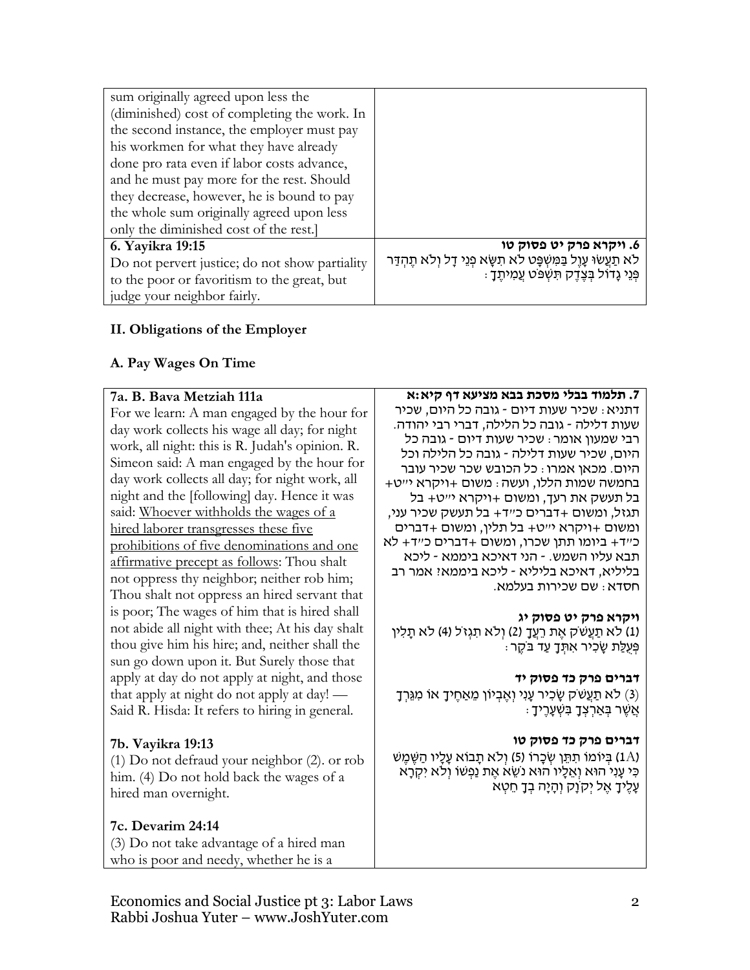| sum originally agreed upon less the            |                                                                      |
|------------------------------------------------|----------------------------------------------------------------------|
| (diminished) cost of completing the work. In   |                                                                      |
| the second instance, the employer must pay     |                                                                      |
| his workmen for what they have already         |                                                                      |
| done pro rata even if labor costs advance,     |                                                                      |
| and he must pay more for the rest. Should      |                                                                      |
| they decrease, however, he is bound to pay     |                                                                      |
| the whole sum originally agreed upon less      |                                                                      |
| only the diminished cost of the rest.          |                                                                      |
| 6. Yayikra 19:15                               | 6. ויקרא פרק יט פסוק טו                                              |
| Do not pervert justice; do not show partiality | לא תַעֲשׂוּ עָוֶל בַּמִּשְׁפָּט לֹא תִשָּׂא פְנֵי דָל וְלֹא תֶהְדַּר |
| to the poor or favoritism to the great, but    | פְנֵי גָדוֹל בִּצְדֵק תִשְׁפֹּט עֲמִיתֵךָ :                          |
| judge your neighbor fairly.                    |                                                                      |

## **II. Obligations of the Employer**

## **A. Pay Wages On Time**

| 7a. B. Bava Metziah 111a                        | 7. תלמוד בבלי מסכת בבא מציעא דף קיא:א                                            |
|-------------------------------------------------|----------------------------------------------------------------------------------|
| For we learn: A man engaged by the hour for     | דתניא : שכיר שעות דיום - גובה כל היום, שכיר                                      |
| day work collects his wage all day; for night   | שעות דלילה - גובה כל הלילה, דברי רבי יהודה.                                      |
| work, all night: this is R. Judah's opinion. R. | רבי שמעון אומר: שכיר שעות דיום - גובה כל                                         |
| Simeon said: A man engaged by the hour for      | היום, שכיר שעות דלילה - גובה כל הלילה וכל                                        |
| day work collects all day; for night work, all  | היום. מכאן אמרו : כל הכובש שכר שכיר עובר                                         |
| night and the [following] day. Hence it was     | בחמשה שמות הללו, ועשה : משום +ויקרא י״ט+<br>בל תעשק את רעך, ומשום +ויקרא י״ט+ בל |
| said: Whoever withholds the wages of a          | תגזל, ומשום +דברים כ״ד+ בל תעשק שכיר עני,                                        |
| hired laborer transgresses these five           | ומשום +ויקרא י״ט+ בל תלין, ומשום +דברים                                          |
|                                                 | כ״ד+ ביומו תתן שכרו, ומשום +דברים כ״ד+ לא                                        |
| prohibitions of five denominations and one      | תבא עליו השמש. - הני דאיכא ביממא - ליכא                                          |
| affirmative precept as follows: Thou shalt      | בליליא, דאיכא בליליא - ליכא ביממאי אמר רב                                        |
| not oppress thy neighbor; neither rob him;      | חסדא: שם שכירות בעלמא.                                                           |
| Thou shalt not oppress an hired servant that    |                                                                                  |
| is poor; The wages of him that is hired shall   | ויקרא פרק יט פסוק יג                                                             |
| not abide all night with thee; At his day shalt | (1) לא תַעֲשֹׁק אֶת רֵעֲךָ (2) וְלֹא תִגְזֹל (4) לא תָלִין                       |
| thou give him his hire; and, neither shall the  | ּפְּעָלַת שַׂכִּיר אִתָּךָ עַד בֹּקֶר                                            |
| sun go down upon it. But Surely those that      |                                                                                  |
| apply at day do not apply at night, and those   | דברים פרק כד פסוק יד                                                             |
| that apply at night do not apply at day! —      | (3) לא תַעֲשֹׁק שָׂכִיר עָנִי וְאֶבְיוֹן מֵאַחֶיךָ אוֹ מִגֵּרְךָ                 |
| Said R. Hisda: It refers to hiring in general.  | ּאַשֶׁר בְּאַרְצְדָ בִּשְׁעָרֶיךָ                                                |
|                                                 |                                                                                  |
| 7b. Vayikra 19:13                               | דברים פרק כד פסוק טו                                                             |
| (1) Do not defraud your neighbor (2). or rob    | (1A) בְּיוֹמוֹ תִתֵּן שְׂכָרוֹ (5) וְלֹא תָבוֹא עָלָיו הַשֵּׁמֵשׁ                |
| him. (4) Do not hold back the wages of a        | כִּי עָנִי הוּא וְאֵלָיו הוּא נֹשֵׂא אֶת נַפְשׁוֹ וְלֹא יִקְרָא                  |
| hired man overnight.                            | עֲלֵיךָ אֵל יִקְוָק וְהָיָה בְּךָ חֵטָא                                          |
|                                                 |                                                                                  |
| 7c. Devarim 24:14                               |                                                                                  |
|                                                 |                                                                                  |
| (3) Do not take advantage of a hired man        |                                                                                  |
| who is poor and needy, whether he is a          |                                                                                  |

Economics and Social Justice pt 3: Labor Laws Rabbi Joshua Yuter – www.JoshYuter.com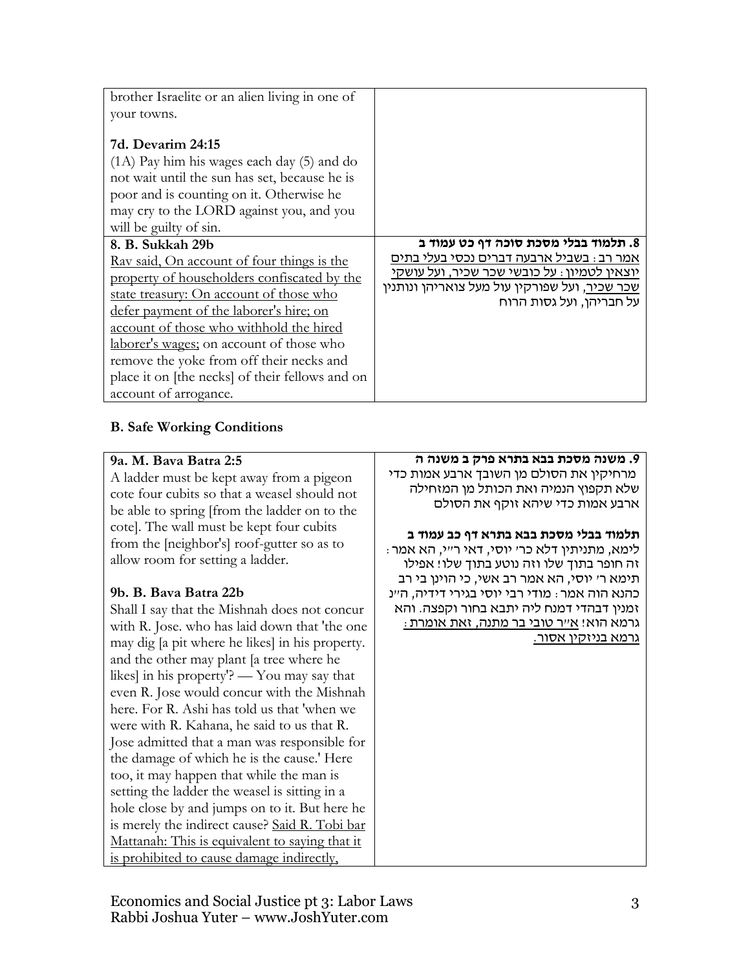| brother Israelite or an alien living in one of                                                                                                                                                                                                                                                                                                                                                                            |                                                                                                                                                                                                                      |
|---------------------------------------------------------------------------------------------------------------------------------------------------------------------------------------------------------------------------------------------------------------------------------------------------------------------------------------------------------------------------------------------------------------------------|----------------------------------------------------------------------------------------------------------------------------------------------------------------------------------------------------------------------|
| your towns.                                                                                                                                                                                                                                                                                                                                                                                                               |                                                                                                                                                                                                                      |
| 7d. Devarim 24:15<br>$(1A)$ Pay him his wages each day $(5)$ and do<br>not wait until the sun has set, because he is<br>poor and is counting on it. Otherwise he<br>may cry to the LORD against you, and you<br>will be guilty of sin.                                                                                                                                                                                    |                                                                                                                                                                                                                      |
| 8. B. Sukkah 29b<br><u>Rav said, On account of four things is the</u><br>property of householders confiscated by the<br>state treasury: On account of those who<br>defer payment of the laborer's hire; on<br>account of those who withhold the hired<br>laborer's wages; on account of those who<br>remove the yoke from off their necks and<br>place it on [the necks] of their fellows and on<br>account of arrogance. | 8. תלמוד בבלי מסכת סוכה דף כט עמוד ב<br>אמר רב: בשביל ארבעה דברים נכסי בעלי בתים<br>יוצאין לטמיון : על כובשי שכר שכיר, ועל עושקי<br><u>שכר שכיר,</u> ועל שפורקין עול מעל צואריהן ונותנין<br>על חבריהן, ועל גסות הרוח |

## **B. Safe Working Conditions**

#### **9a. M. Bava Batra 2:5**

A ladder must be kept away from a pigeon cote four cubits so that a weasel should not be able to spring [from the ladder on to the cote]. The wall must be kept four cubits from the [neighbor's] roof-gutter so as to allow room for setting a ladder.

#### **9b. B. Bava Batra 22b**

Shall I say that the Mishnah does not concur with R. Jose. who has laid down that 'the one may dig [a pit where he likes] in his property. and the other may plant [a tree where he likes] in his property'? — You may say that even R. Jose would concur with the Mishnah here. For R. Ashi has told us that 'when we were with R. Kahana, he said to us that R. Jose admitted that a man was responsible for the damage of which he is the cause.' Here too, it may happen that while the man is setting the ladder the weasel is sitting in a hole close by and jumps on to it. But here he is merely the indirect cause? Said R. Tobi bar Mattanah: This is equivalent to saying that it is prohibited to cause damage indirectly,

#### **.9 משנה מסכת בבא בתרא פרק ב משנה ה**

מרחיקין את הסולם מן השובך ארבע אמות כדי שלא תקפוץ הנמיה ואת הכותל מן המזחילה ארבע אמות כדי שיהא זוקף את הסולם

#### **תלמוד בבלי מסכת בבא בתרא דף כב עמוד ב**

לימא, מתניתין דלא כר' יוסי, דאי ר"י, הא אמר: זה חופר בתוך שלו וזה נוטע בתוך שלו! אפילו תימא ר' יוסי, הא אמר רב אשי, כי הוינן בי רב כהנא הוה אמר: מודי רבי יוסי בגירי דידיה, ה"נ זמנין דבהדי דמנח ליה יתבא בחור וקפצה. והא גרמא הוא! א"ר טובי בר מתנה, זאת אומרת: גרמא בניזקין אסור.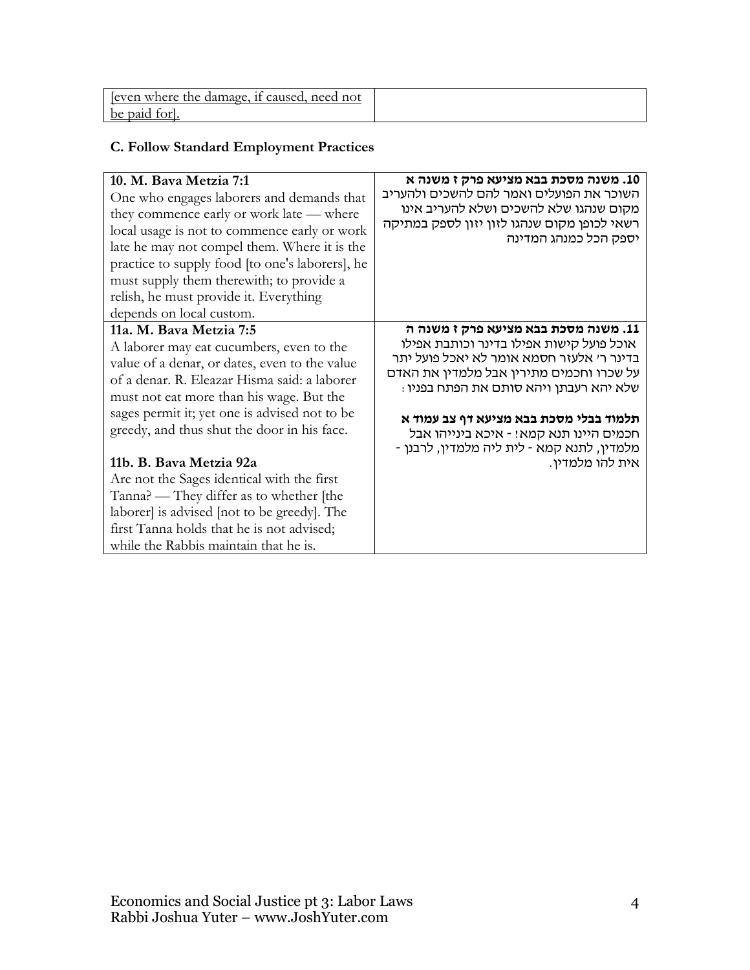| even where the damage, if caused, need not |  |
|--------------------------------------------|--|
| be paid                                    |  |

## **C. Follow Standard Employment Practices**

| 10. M. Bava Metzia 7:1<br>One who engages laborers and demands that<br>they commence early or work late — where<br>local usage is not to commence early or work<br>late he may not compel them. Where it is the<br>practice to supply food [to one's laborers], he<br>must supply them therewith; to provide a<br>relish, he must provide it. Everything<br>depends on local custom. | 10. משנה מסכת בבא מציעא פרק ז משנה א<br>השוכר את הפועלים ואמר להם להשכים ולהעריב<br>מקום שנהגו שלא להשכים ושלא להעריב אינו<br>רשאי לכופן מקום שנהגו לזון יזון לספק במתיקה<br>יספק הכל כמנהג המדינה                                                                                                                                                      |
|--------------------------------------------------------------------------------------------------------------------------------------------------------------------------------------------------------------------------------------------------------------------------------------------------------------------------------------------------------------------------------------|---------------------------------------------------------------------------------------------------------------------------------------------------------------------------------------------------------------------------------------------------------------------------------------------------------------------------------------------------------|
| 11a. M. Bava Metzia 7:5<br>A laborer may eat cucumbers, even to the<br>value of a denar, or dates, even to the value<br>of a denar. R. Eleazar Hisma said: a laborer<br>must not eat more than his wage. But the<br>sages permit it; yet one is advised not to be<br>greedy, and thus shut the door in his face.                                                                     | 11. משנה מסכת בבא מציעא פרק ז משנה ה<br>אוכל פועל קישות אפילו בדינר וכותבת אפילו<br>בדינר ר׳ אלעזר חסמא אומר לא יאכל פועל יתר<br>על שכרו וחכמים מתירין אבל מלמדין את האדם<br>: שלא יהא רעבתן ויהא סותם את הפתח בפניו<br>תלמוד בבלי מסכת בבא מציעא דף צב עמוד א<br>חכמים היינו תנא קמא! - איכא בינייהו אבל<br>מלמדין, לתנא קמא - לית ליה מלמדין, לרבנן - |
| 11b. B. Bava Metzia 92a<br>Are not the Sages identical with the first<br>Tanna? — They differ as to whether [the<br>laborer is advised [not to be greedy]. The<br>first Tanna holds that he is not advised;<br>while the Rabbis maintain that he is.                                                                                                                                 | אית להו מלמדין.                                                                                                                                                                                                                                                                                                                                         |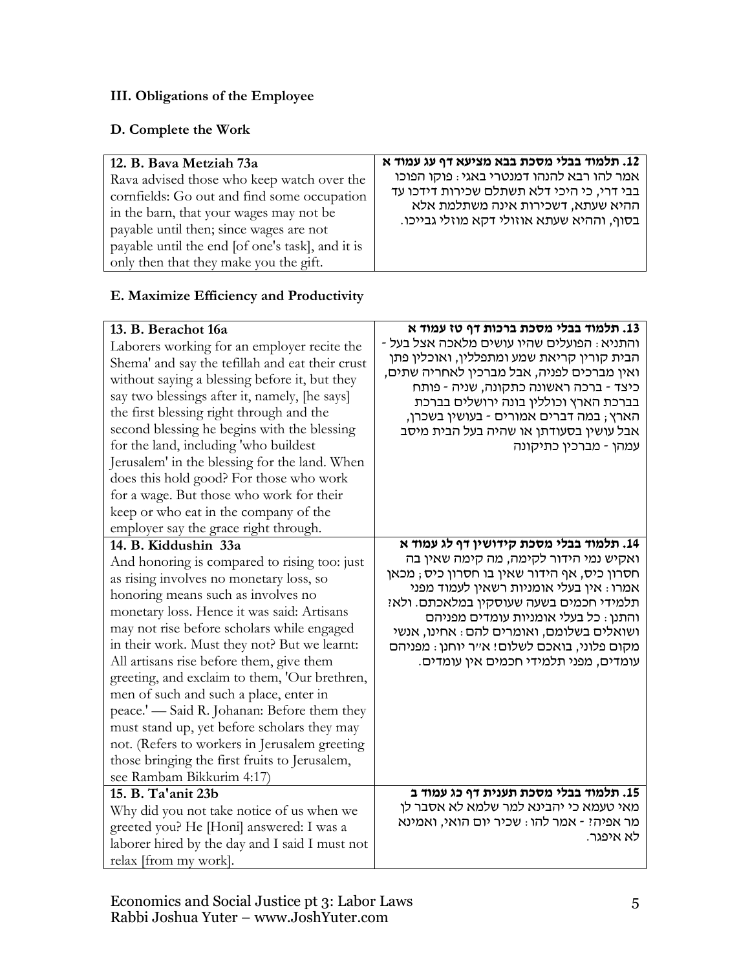## **III. Obligations of the Employee**

## **D. Complete the Work**

| 12. B. Bava Metziah 73a                          | 12. תלמוד בבלי מסכת בבא מציעא דף עג עמוד א |
|--------------------------------------------------|--------------------------------------------|
| Rava advised those who keep watch over the       | אמר להו רבא להנהו דמנטרי באגי: פוקו הפוכו  |
| cornfields: Go out and find some occupation      | בבי דרי, כי היכי דלא תשתלם שכירות דידכו עד |
| in the barn, that your wages may not be          | ההיא שעתא, דשכירות אינה משתלמת אלא         |
| payable until then; since wages are not          | בסוף, וההיא שעתא אוזולי דקא מוזלי גבייכו.  |
| payable until the end [of one's task], and it is |                                            |
| only then that they make you the gift.           |                                            |

### **E. Maximize Efficiency and Productivity**

| 13. B. Berachot 16a<br>Laborers working for an employer recite the<br>Shema' and say the tefillah and eat their crust<br>without saying a blessing before it, but they<br>say two blessings after it, namely, [he says]<br>the first blessing right through and the                                                                                                                                                                                                                                                                                                                                                                                                   | 13. תלמוד בבלי מסכת ברכות דף טז עמוד א<br>והתניא : הפועלים שהיו עושים מלאכה אצל בעל -<br>הבית קורין קריאת שמע ומתפללין, ואוכלין פתן<br>ואין מברכים לפניה, אבל מברכין לאחריה שתים,<br>כיצד - ברכה ראשונה כתקונה, שניה - פותח<br>בברכת הארץ וכוללין בונה ירושלים בברכת<br>הארץ ; במה דברים אמורים - בעושין בשכרן,                                                                                        |
|-----------------------------------------------------------------------------------------------------------------------------------------------------------------------------------------------------------------------------------------------------------------------------------------------------------------------------------------------------------------------------------------------------------------------------------------------------------------------------------------------------------------------------------------------------------------------------------------------------------------------------------------------------------------------|--------------------------------------------------------------------------------------------------------------------------------------------------------------------------------------------------------------------------------------------------------------------------------------------------------------------------------------------------------------------------------------------------------|
| second blessing he begins with the blessing<br>for the land, including 'who buildest<br>Jerusalem' in the blessing for the land. When<br>does this hold good? For those who work<br>for a wage. But those who work for their<br>keep or who eat in the company of the<br>employer say the grace right through.                                                                                                                                                                                                                                                                                                                                                        | אבל עושין בסעודתן או שהיה בעל הבית מיסב<br>עמהן - מברכין כתיקונה                                                                                                                                                                                                                                                                                                                                       |
| 14. B. Kiddushin 33a<br>And honoring is compared to rising too: just<br>as rising involves no monetary loss, so<br>honoring means such as involves no<br>monetary loss. Hence it was said: Artisans<br>may not rise before scholars while engaged<br>in their work. Must they not? But we learnt:<br>All artisans rise before them, give them<br>greeting, and exclaim to them, 'Our brethren,<br>men of such and such a place, enter in<br>peace.' - Said R. Johanan: Before them they<br>must stand up, yet before scholars they may<br>not. (Refers to workers in Jerusalem greeting<br>those bringing the first fruits to Jerusalem,<br>see Rambam Bikkurim 4:17) | 14. תלמוד בבלי מסכת קידושין דף לג עמוד א<br>ואקיש נמי הידור לקימה, מה קימה שאין בה<br>חסרון כיס, אף הידור שאין בו חסרון כיס ; מכאן<br>אמרו : אין בעלי אומניות רשאין לעמוד מפני<br>תלמידי חכמים בשעה שעוסקין במלאכתם. ולאז<br>והתנן : כל בעלי אומניות עומדים מפניהם<br>ושואלים בשלומם, ואומרים להם: אחינו, אנשי<br>מקום פלוני, בואכם לשלום! א״ר יוחנן : מפניהם<br>עומדים, מפני תלמידי חכמים אין עומדים. |
| 15. B. Ta'anit 23b<br>Why did you not take notice of us when we<br>greeted you? He [Honi] answered: I was a<br>laborer hired by the day and I said I must not<br>relax [from my work].                                                                                                                                                                                                                                                                                                                                                                                                                                                                                | 15. תלמוד בבלי מסכת תענית דף כג עמוד ב<br>מאי טעמא כי יהבינא למר שלמא לא אסבר לן<br>מר אפיה? - אמר להו : שכיר יום הואי, ואמינא<br>לא איפגר.                                                                                                                                                                                                                                                            |